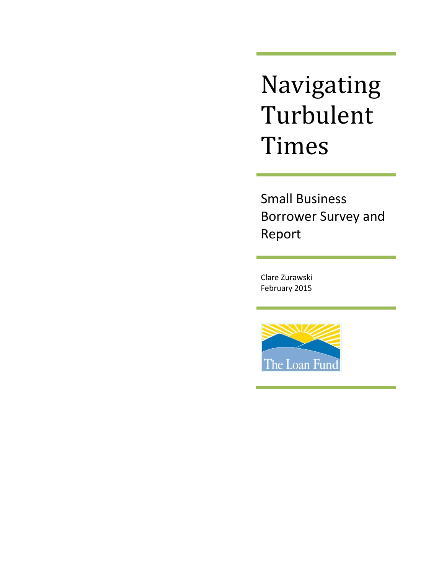Navigating Turbulent Times

Small Business Borrower Survey and Report

Clare Zurawski February 2015

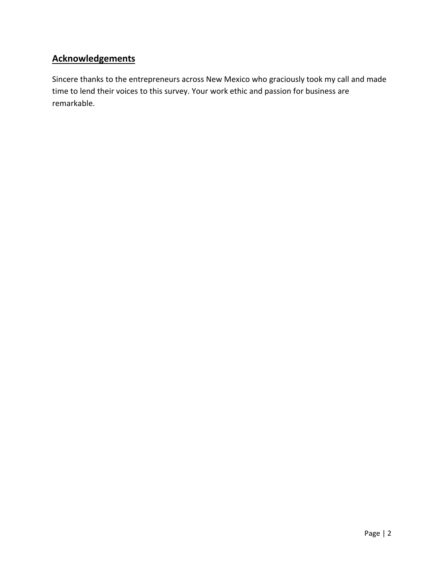# **Acknowledgements**

Sincere thanks to the entrepreneurs across New Mexico who graciously took my call and made time to lend their voices to this survey. Your work ethic and passion for business are remarkable.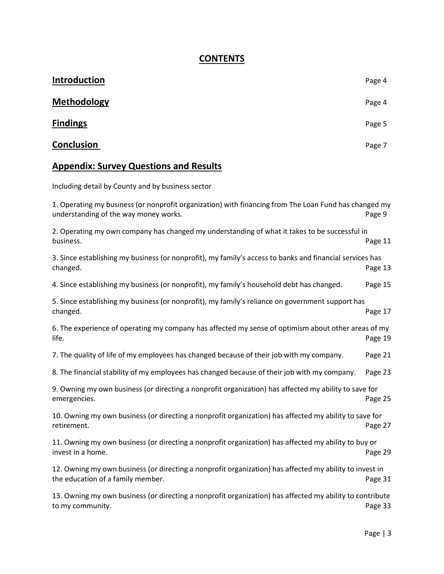# **CONTENTS**

| Introduction                                                                                                                                   | Page 4  |
|------------------------------------------------------------------------------------------------------------------------------------------------|---------|
| <b>Methodology</b>                                                                                                                             | Page 4  |
| <b>Findings</b>                                                                                                                                | Page 5  |
| Conclusion                                                                                                                                     | Page 7  |
| <b>Appendix: Survey Questions and Results</b>                                                                                                  |         |
| Including detail by County and by business sector                                                                                              |         |
| 1. Operating my business (or nonprofit organization) with financing from The Loan Fund has changed my<br>understanding of the way money works. | Page 9  |
| 2. Operating my own company has changed my understanding of what it takes to be successful in<br>business.                                     | Page 11 |
| 3. Since establishing my business (or nonprofit), my family's access to banks and financial services has<br>changed.                           | Page 13 |
| 4. Since establishing my business (or nonprofit), my family's household debt has changed.                                                      | Page 15 |
| 5. Since establishing my business (or nonprofit), my family's reliance on government support has<br>changed.                                   | Page 17 |
| 6. The experience of operating my company has affected my sense of optimism about other areas of my<br>life.                                   | Page 19 |
| 7. The quality of life of my employees has changed because of their job with my company.                                                       | Page 21 |
| 8. The financial stability of my employees has changed because of their job with my company.                                                   | Page 23 |
| 9. Owning my own business (or directing a nonprofit organization) has affected my ability to save for<br>emergencies.                          | Page 25 |
| 10. Owning my own business (or directing a nonprofit organization) has affected my ability to save for<br>retirement.                          | Page 27 |
| 11. Owning my own business (or directing a nonprofit organization) has affected my ability to buy or<br>invest in a home.                      | Page 29 |
| 12. Owning my own business (or directing a nonprofit organization) has affected my ability to invest in<br>the education of a family member.   | Page 31 |
| 13. Owning my own business (or directing a nonprofit organization) has affected my ability to contribute<br>to my community.                   | Page 33 |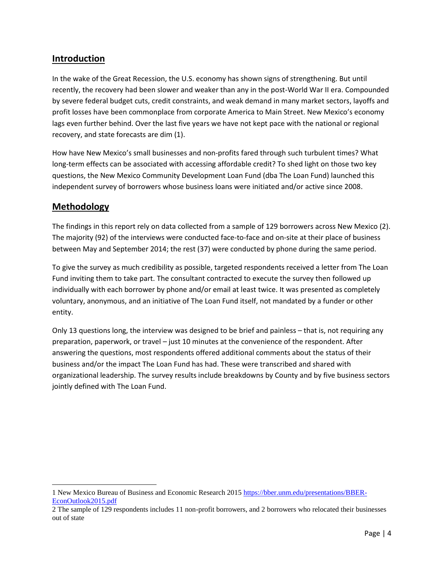# **Introduction**

In the wake of the Great Recession, the U.S. economy has shown signs of strengthening. But until recently, the recovery had been slower and weaker than any in the post-World War II era. Compounded by severe federal budget cuts, credit constraints, and weak demand in many market sectors, layoffs and profit losses have been commonplace from corporate America to Main Street. New Mexico's economy lags even further behind. Over the last five years we have not kept pace with the national or regional recovery, and state forecasts are dim (1).

How have New Mexico's small businesses and non-profits fared through such turbulent times? What long-term effects can be associated with accessing affordable credit? To shed light on those two key questions, the New Mexico Community Development Loan Fund (dba The Loan Fund) launched this independent survey of borrowers whose business loans were initiated and/or active since 2008.

## **Methodology**

 $\overline{\phantom{a}}$ 

The findings in this report rely on data collected from a sample of 129 borrowers across New Mexico (2). The majority (92) of the interviews were conducted face-to-face and on-site at their place of business between May and September 2014; the rest (37) were conducted by phone during the same period.

To give the survey as much credibility as possible, targeted respondents received a letter from The Loan Fund inviting them to take part. The consultant contracted to execute the survey then followed up individually with each borrower by phone and/or email at least twice. It was presented as completely voluntary, anonymous, and an initiative of The Loan Fund itself, not mandated by a funder or other entity.

Only 13 questions long, the interview was designed to be brief and painless – that is, not requiring any preparation, paperwork, or travel – just 10 minutes at the convenience of the respondent. After answering the questions, most respondents offered additional comments about the status of their business and/or the impact The Loan Fund has had. These were transcribed and shared with organizational leadership. The survey results include breakdowns by County and by five business sectors jointly defined with The Loan Fund.

<sup>1</sup> New Mexico Bureau of Business and Economic Research 2015 [https://bber.unm.edu/presentations/BBER-](https://bber.unm.edu/presentations/BBER-EconOutlook2015.pdf)[EconOutlook2015.pdf](https://bber.unm.edu/presentations/BBER-EconOutlook2015.pdf)

<sup>2</sup> The sample of 129 respondents includes 11 non-profit borrowers, and 2 borrowers who relocated their businesses out of state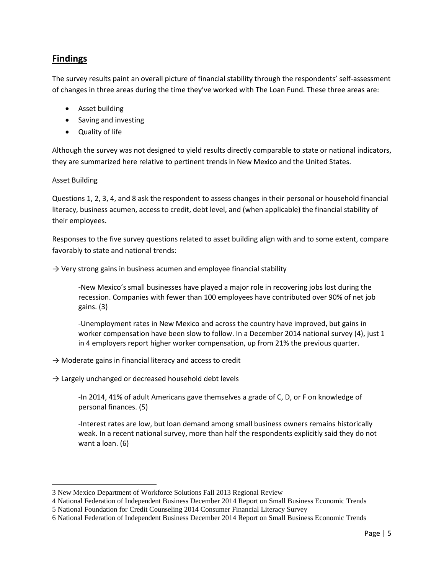# **Findings**

The survey results paint an overall picture of financial stability through the respondents' self-assessment of changes in three areas during the time they've worked with The Loan Fund. These three areas are:

- Asset building
- Saving and investing
- Quality of life

Although the survey was not designed to yield results directly comparable to state or national indicators, they are summarized here relative to pertinent trends in New Mexico and the United States.

### Asset Building

 $\overline{\phantom{a}}$ 

Questions 1, 2, 3, 4, and 8 ask the respondent to assess changes in their personal or household financial literacy, business acumen, access to credit, debt level, and (when applicable) the financial stability of their employees.

Responses to the five survey questions related to asset building align with and to some extent, compare favorably to state and national trends:

 $\rightarrow$  Very strong gains in business acumen and employee financial stability

-New Mexico's small businesses have played a major role in recovering jobs lost during the recession. Companies with fewer than 100 employees have contributed over 90% of net job gains. (3)

-Unemployment rates in New Mexico and across the country have improved, but gains in worker compensation have been slow to follow. In a December 2014 national survey (4), just 1 in 4 employers report higher worker compensation, up from 21% the previous quarter.

- $\rightarrow$  Moderate gains in financial literacy and access to credit
- $\rightarrow$  Largely unchanged or decreased household debt levels

-In 2014, 41% of adult Americans gave themselves a grade of C, D, or F on knowledge of personal finances. (5)

-Interest rates are low, but loan demand among small business owners remains historically weak. In a recent national survey, more than half the respondents explicitly said they do not want a loan. (6)

<sup>3</sup> New Mexico Department of Workforce Solutions Fall 2013 Regional Review

<sup>4</sup> National Federation of Independent Business December 2014 Report on Small Business Economic Trends

<sup>5</sup> National Foundation for Credit Counseling 2014 Consumer Financial Literacy Survey

<sup>6</sup> National Federation of Independent Business December 2014 Report on Small Business Economic Trends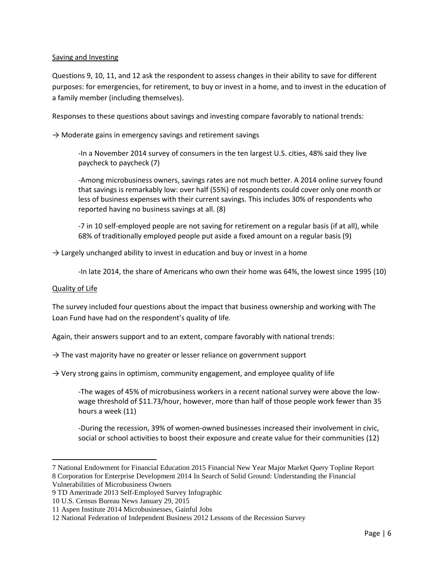### Saving and Investing

Questions 9, 10, 11, and 12 ask the respondent to assess changes in their ability to save for different purposes: for emergencies, for retirement, to buy or invest in a home, and to invest in the education of a family member (including themselves).

Responses to these questions about savings and investing compare favorably to national trends:

 $\rightarrow$  Moderate gains in emergency savings and retirement savings

-In a November 2014 survey of consumers in the ten largest U.S. cities, 48% said they live paycheck to paycheck (7)

-Among microbusiness owners, savings rates are not much better. A 2014 online survey found that savings is remarkably low: over half (55%) of respondents could cover only one month or less of business expenses with their current savings. This includes 30% of respondents who reported having no business savings at all. (8)

-7 in 10 self-employed people are not saving for retirement on a regular basis (if at all), while 68% of traditionally employed people put aside a fixed amount on a regular basis (9)

 $\rightarrow$  Largely unchanged ability to invest in education and buy or invest in a home

-In late 2014, the share of Americans who own their home was 64%, the lowest since 1995 (10)

### Quality of Life

 $\overline{\phantom{a}}$ 

The survey included four questions about the impact that business ownership and working with The Loan Fund have had on the respondent's quality of life.

Again, their answers support and to an extent, compare favorably with national trends:

 $\rightarrow$  The vast majority have no greater or lesser reliance on government support

 $\rightarrow$  Very strong gains in optimism, community engagement, and employee quality of life

-The wages of 45% of microbusiness workers in a recent national survey were above the lowwage threshold of \$11.73/hour, however, more than half of those people work fewer than 35 hours a week (11)

-During the recession, 39% of women-owned businesses increased their involvement in civic, social or school activities to boost their exposure and create value for their communities (12)

<sup>7</sup> National Endowment for Financial Education 2015 Financial New Year Major Market Query Topline Report 8 Corporation for Enterprise Development 2014 In Search of Solid Ground: Understanding the Financial Vulnerabilities of Microbusiness Owners

<sup>9</sup> TD Ameritrade 2013 Self-Employed Survey Infographic

<sup>10</sup> U.S. Census Bureau News January 29, 2015

<sup>11</sup> Aspen Institute 2014 Microbusinesses, Gainful Jobs

<sup>12</sup> National Federation of Independent Business 2012 Lessons of the Recession Survey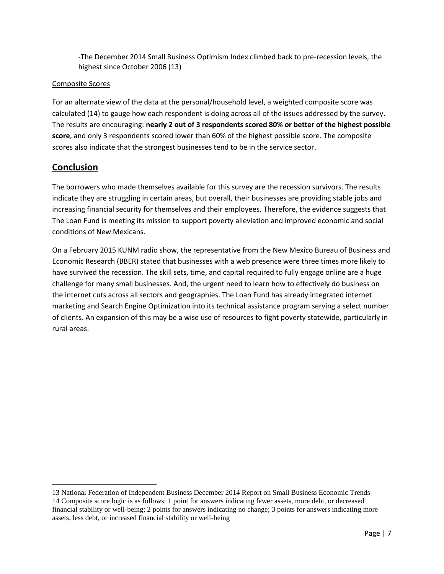-The December 2014 Small Business Optimism Index climbed back to pre-recession levels, the highest since October 2006 (13)

### Composite Scores

For an alternate view of the data at the personal/household level, a weighted composite score was calculated (14) to gauge how each respondent is doing across all of the issues addressed by the survey. The results are encouraging: **nearly 2 out of 3 respondents scored 80% or better of the highest possible score**, and only 3 respondents scored lower than 60% of the highest possible score. The composite scores also indicate that the strongest businesses tend to be in the service sector.

## **Conclusion**

 $\overline{\phantom{a}}$ 

The borrowers who made themselves available for this survey are the recession survivors. The results indicate they are struggling in certain areas, but overall, their businesses are providing stable jobs and increasing financial security for themselves and their employees. Therefore, the evidence suggests that The Loan Fund is meeting its mission to support poverty alleviation and improved economic and social conditions of New Mexicans.

On a February 2015 KUNM radio show, the representative from the New Mexico Bureau of Business and Economic Research (BBER) stated that businesses with a web presence were three times more likely to have survived the recession. The skill sets, time, and capital required to fully engage online are a huge challenge for many small businesses. And, the urgent need to learn how to effectively do business on the internet cuts across all sectors and geographies. The Loan Fund has already integrated internet marketing and Search Engine Optimization into its technical assistance program serving a select number of clients. An expansion of this may be a wise use of resources to fight poverty statewide, particularly in rural areas.

<sup>13</sup> National Federation of Independent Business December 2014 Report on Small Business Economic Trends 14 Composite score logic is as follows: 1 point for answers indicating fewer assets, more debt, or decreased financial stability or well-being; 2 points for answers indicating no change; 3 points for answers indicating more assets, less debt, or increased financial stability or well-being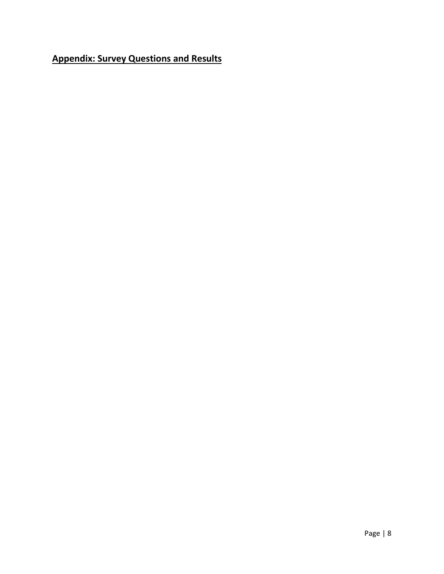# **Appendix: Survey Questions and Results**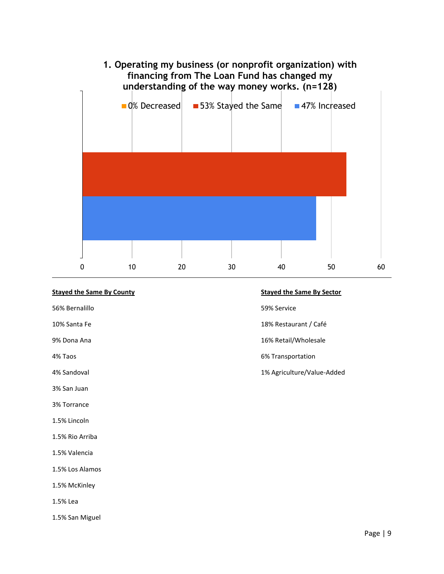

### **Stayed the Same By County Stayed the Same By Sector**

56% Bernalillo 59% Service

3% San Juan

3% Torrance

1.5% Lincoln

1.5% Rio Arriba

1.5% Valencia

1.5% Los Alamos

1.5% McKinley

1.5% Lea

1.5% San Miguel

- 
- 10% Santa Fe 18% Restaurant / Café
- 9% Dona Ana 16% Retail/Wholesale
- 4% Taos 6% Transportation
- 4% Sandoval 1% Agriculture/Value-Added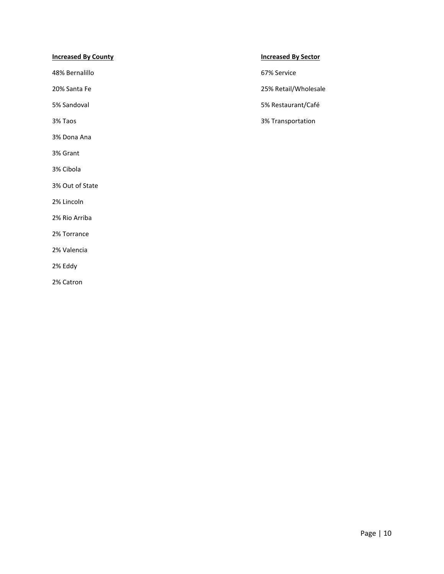### **Increased By County Increased By Sector**

48% Bernalillo 67% Service

3% Dona Ana

3% Grant

3% Cibola

3% Out of State

2% Lincoln

2% Rio Arriba

2% Torrance

2% Valencia

2% Eddy

2% Catron

20% Santa Fe 25% Retail/Wholesale

5% Sandoval 5% Restaurant/Café

3% Taos 3% Transportation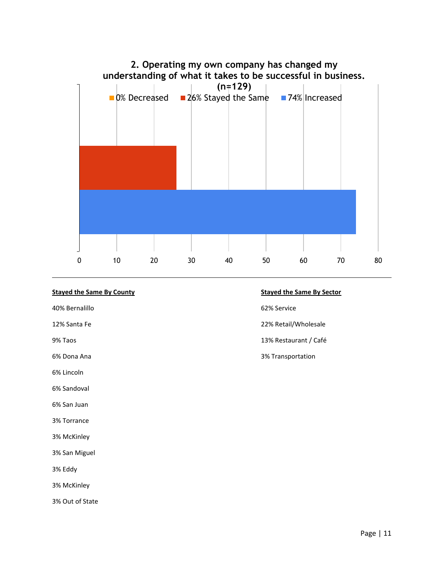

### **Stayed the Same By County Stayed the Same By Sector**

40% Bernalillo 62% Service

6% Lincoln

6% Sandoval

6% San Juan

3% Torrance

3% McKinley

3% San Miguel

3% Eddy

3% McKinley

3% Out of State

- 
- 12% Santa Fe 22% Retail/Wholesale
- 9% Taos 13% Restaurant / Café
- 6% Dona Ana 3% Transportation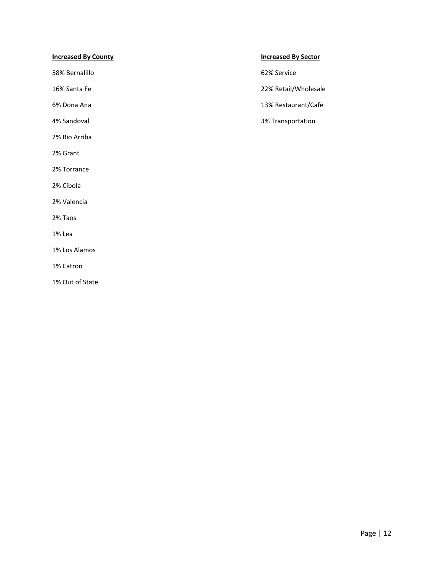### **Increased By County Increased By Sector**

58% Bernalillo 62% Service

2% Rio Arriba

2% Grant

2% Torrance

2% Cibola

2% Valencia

2% Taos

1% Lea

1% Los Alamos

1% Catron

1% Out of State

16% Santa Fe 22% Retail/Wholesale

6% Dona Ana 13% Restaurant/Café

4% Sandoval 3% Transportation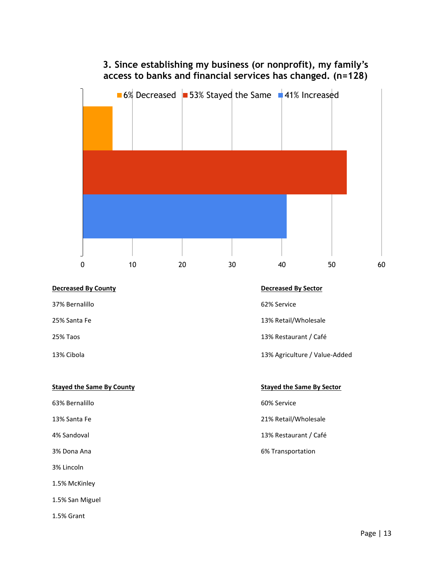# **3. Since establishing my business (or nonprofit), my family's access to banks and financial services has changed. (n=128)**



## **Decreased By County Decreased By Sector**

37% Bernalillo 62% Service

### **Stayed the Same By County Stayed the Same By Sector**

63% Bernalillo 60% Service

3% Lincoln

1.5% McKinley

1.5% San Miguel

1.5% Grant

- 
- 25% Santa Fe 2008 and 25% Santa Fe 2008 and 25% Retail Assessment Retail Assessment Retail Assessment Retail A
- 25% Taos 13% Restaurant / Café

### 13% Cibola 13% Agriculture / Value-Added

- 
- 13% Santa Fe 21% Retail 21% Retail 21% Retail 21% Retail 21% Retail 21% Retail 21% Retail 21% Retail 21% Retail
- 4% Sandoval 13% Restaurant / Café

### 3% Dona Ana 6% Transportation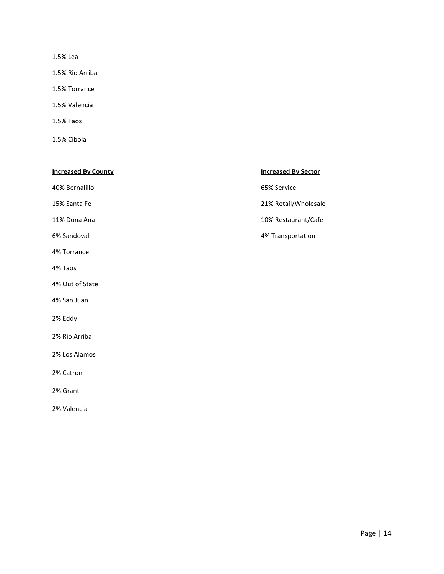1.5% Lea

1.5% Rio Arriba

1.5% Torrance

1.5% Valencia

1.5% Taos

1.5% Cibola

| <b>Increased By County</b> | <b>Increased By Sector</b> |
|----------------------------|----------------------------|
| 40% Bernalillo             | 65% Service                |
| 15% Santa Fe               | 21% Retail/Wholesale       |
| 11% Dona Ana               | 10% Restaurant/Café        |
| 6% Sandoval                | 4% Transportation          |
| 4% Torrance                |                            |
| 4% Taos                    |                            |
| 4% Out of State            |                            |
| 4% San Juan                |                            |
| 2% Eddy                    |                            |
| 2% Rio Arriba              |                            |
| 2% Los Alamos              |                            |
| 2% Catron                  |                            |
| 2% Grant                   |                            |
| 2% Valencia                |                            |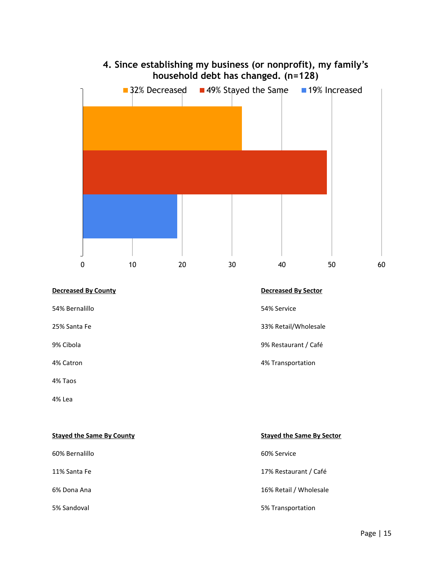

5% Sandoval 5% Transportation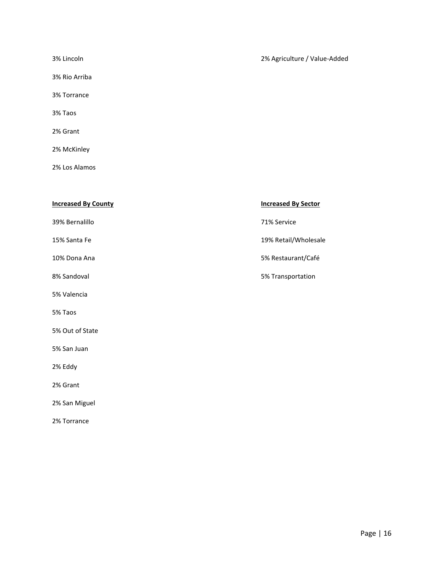| 3% Lincoln    | 2% Agriculture / Value-Added |
|---------------|------------------------------|
| 3% Rio Arriba |                              |
| 3% Torrance   |                              |
| 3% Taos       |                              |
| 2% Grant      |                              |
| 2% McKinley   |                              |

2% Los Alamos

2% Torrance

| <b>Increased By County</b> | <b>Increased By Sector</b> |
|----------------------------|----------------------------|
| 39% Bernalillo             | 71% Service                |
| 15% Santa Fe               | 19% Retail/Wholesale       |
| 10% Dona Ana               | 5% Restaurant/Café         |
| 8% Sandoval                | 5% Transportation          |
| 5% Valencia                |                            |
| 5% Taos                    |                            |
| 5% Out of State            |                            |
| 5% San Juan                |                            |
| 2% Eddy                    |                            |
| 2% Grant                   |                            |
| 2% San Miguel              |                            |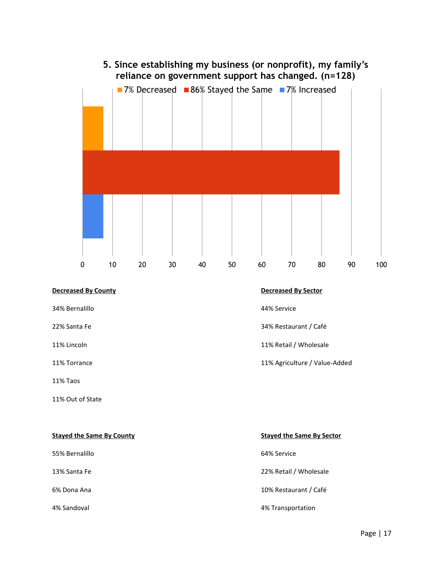

### **Decreased By County Decreased By Sector**

34% Bernalillo 44% Service

11% Taos

11% Out of State

22% Santa Fe 34% Restaurant / Café

11% Lincoln 11% Retail / Wholesale

11% Torrance 11% Agriculture / Value-Added

| <b>Stayed the Same By County</b> | <b>Staved the Same By Sector</b> |
|----------------------------------|----------------------------------|
| 55% Bernalillo                   | 64% Service                      |
| 13% Santa Fe                     | 22% Retail / Wholesale           |
| 6% Dona Ana                      | 10% Restaurant / Café            |
| 4% Sandoval                      | 4% Transportation                |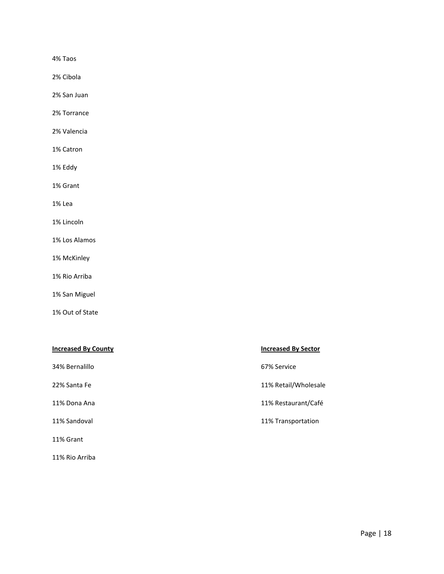4% Taos

2% Cibola

2% San Juan

2% Torrance

2% Valencia

1% Catron

1% Eddy

1% Grant

1% Lea

1% Lincoln

1% Los Alamos

1% McKinley

1% Rio Arriba

1% San Miguel

1% Out of State

11% Rio Arriba

| <b>Increased By County</b> | <b>Increased By Sector</b> |
|----------------------------|----------------------------|
| 34% Bernalillo             | 67% Service                |
| 22% Santa Fe               | 11% Retail/Wholesale       |
| 11% Dona Ana               | 11% Restaurant/Café        |
| 11% Sandoval               | 11% Transportation         |
| 11% Grant                  |                            |

Page | 18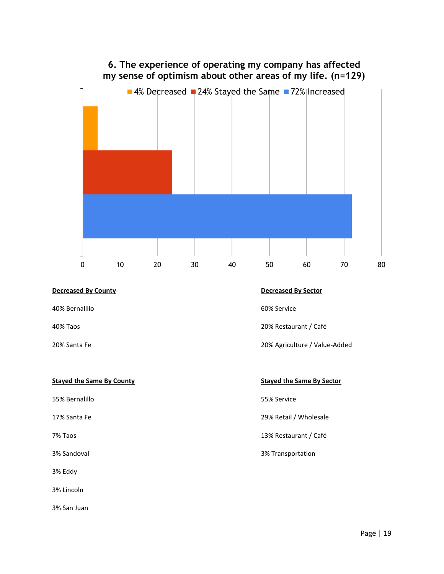

### 40% Bernalillo 60% Service

55% Bernalillo 55% Service

3% Eddy

3% Lincoln

3% San Juan

40% Taos 20% Restaurant / Café

20% Santa Fe 20% Agriculture / Value-Added

**Stayed the Same By County Stayed the Same By Sector** 

17% Santa Fe 29% Retail / Wholesale

7% Taos 13% Restaurant / Café

3% Sandoval 3% Transportation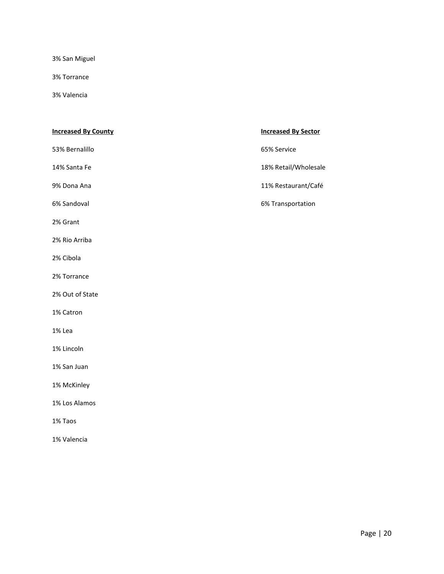3% San Miguel

3% Torrance

3% Valencia

### **Increased By County Increased By Sector**

53% Bernalillo 65% Service

2% Grant

2% Rio Arriba

2% Cibola

2% Torrance

2% Out of State

1% Catron

1% Lea

1% Lincoln

1% San Juan

1% McKinley

1% Los Alamos

1% Taos

1% Valencia

14% Santa Fe 18% Retail/Wholesale

9% Dona Ana 2008 and 2009 and 2008 and 2009 and 2012 and 21% Restaurant/Café

6% Sandoval 6% Transportation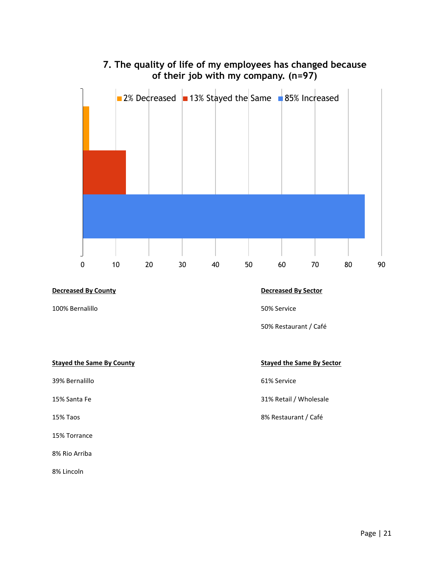# **7. The quality of life of my employees has changed because of their job with my company. (n=97)**



### **Decreased By County Decreased By Sector**

100% Bernalillo 50% Service

50% Restaurant / Café

### **Stayed the Same By County Stayed the Same By Sector**

39% Bernalillo 61% Service

15% Torrance

8% Rio Arriba

8% Lincoln

15% Santa Fe 31% Santa Fe 31% Santa Fe 31% Retail / Wholesale

15% Taos 8% Restaurant / Café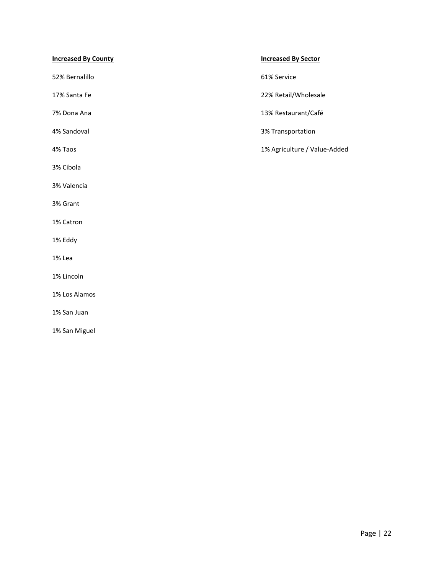| <b>Increased By County</b> | <b>Increased By Sector</b>   |
|----------------------------|------------------------------|
| 52% Bernalillo             | 61% Service                  |
| 17% Santa Fe               | 22% Retail/Wholesale         |
| 7% Dona Ana                | 13% Restaurant/Café          |
| 4% Sandoval                | 3% Transportation            |
| 4% Taos                    | 1% Agriculture / Value-Added |
| 3% Cibola                  |                              |
| 3% Valencia                |                              |
| 3% Grant                   |                              |
| 1% Catron                  |                              |
| 1% Eddy                    |                              |
| 1% Lea                     |                              |
| 1% Lincoln                 |                              |
| 1% Los Alamos              |                              |
| 1% San Juan                |                              |
| 1% San Miguel              |                              |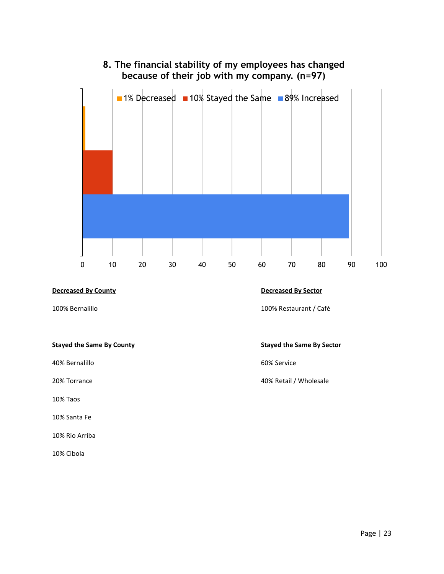# **8. The financial stability of my employees has changed because of their job with my company. (n=97)**



### **Decreased By County Decreased By Sector**

40% Bernalillo 60% Service

10% Taos

10% Santa Fe

10% Rio Arriba

10% Cibola

100% Bernalillo 100% Restaurant / Café

### **Stayed the Same By County Stayed the Same By Sector**

20% Torrance 20% Torrance 20% Torrance 20% Retail / Wholesale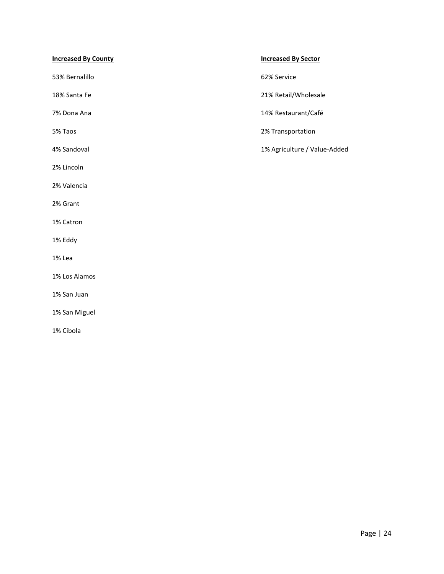| <b>Increased By County</b> | <b>Increased By Sector</b>   |
|----------------------------|------------------------------|
| 53% Bernalillo             | 62% Service                  |
| 18% Santa Fe               | 21% Retail/Wholesale         |
| 7% Dona Ana                | 14% Restaurant/Café          |
| 5% Taos                    | 2% Transportation            |
| 4% Sandoval                | 1% Agriculture / Value-Added |
| 2% Lincoln                 |                              |
| 2% Valencia                |                              |
| 2% Grant                   |                              |
| 1% Catron                  |                              |
| 1% Eddy                    |                              |
| 1% Lea                     |                              |
| 1% Los Alamos              |                              |
| 1% San Juan                |                              |
| 1% San Miguel              |                              |
| 1% Cibola                  |                              |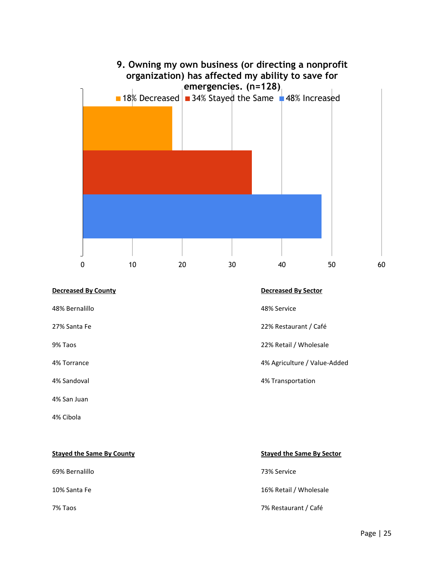

### **Decreased By County Decreased By Sector**

48% Bernalillo 48% Service

4% San Juan

4% Cibola

27% Santa Fe 22% Restaurant / Café

9% Taos 22% Retail / Wholesale

4% Torrance 4% Agriculture / Value-Added

4% Sandoval 4% Transportation

**Stayed the Same By County Stayed the Same By Sector** 69% Bernalillo 73% Service 10% Santa Fe 16% Retail / Wholesale 7% Taos 7% Restaurant / Café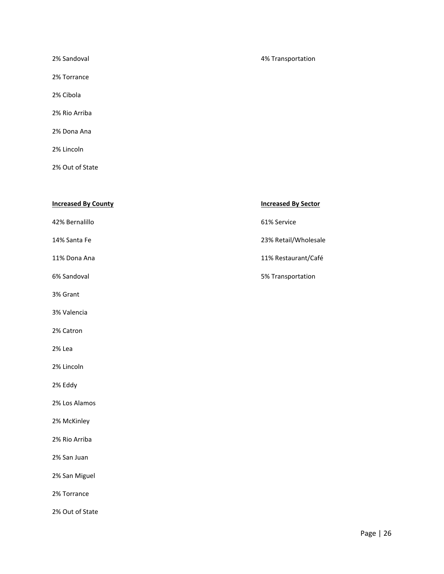2% Torrance

- 2% Cibola
- 2% Rio Arriba
- 2% Dona Ana
- 2% Lincoln
- 2% Out of State

| <b>Increased By County</b> | <b>Increased By Sector</b> |
|----------------------------|----------------------------|
| 42% Bernalillo             | 61% Service                |
| 14% Santa Fe               | 23% Retail/Wholesale       |
| 11% Dona Ana               | 11% Restaurant/Café        |
| 6% Sandoval                | 5% Transportation          |
| 3% Grant                   |                            |
| 3% Valencia                |                            |
| 2% Catron                  |                            |
| 2% Lea                     |                            |
| 2% Lincoln                 |                            |
| 2% Eddy                    |                            |
| 2% Los Alamos              |                            |
| 2% McKinley                |                            |
| 2% Rio Arriba              |                            |
| 2% San Juan                |                            |
| 2% San Miguel              |                            |
| 2% Torrance                |                            |
| 2% Out of State            |                            |

### 2% Sandoval 4% Transportation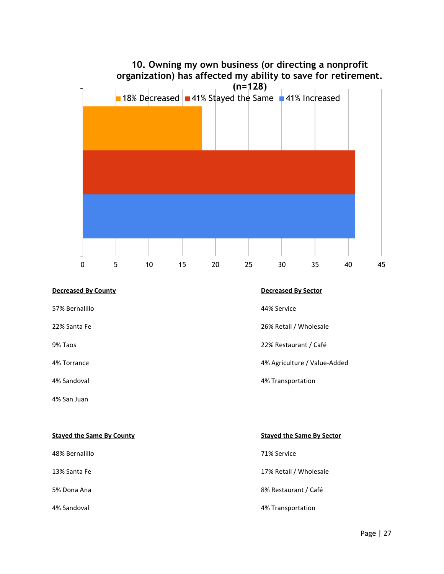

### **Decreased By County Decreased By Sector**

57% Bernalillo 44% Service

4% San Juan

- 
- 22% Santa Fe 20% Santa Fe 26% Retail / Wholesale
- 9% Taos 22% Restaurant / Café
- 4% Torrance 4% Agriculture / Value-Added
- 4% Sandoval 4% Transportation

| <b>Staved the Same By County</b> | <b>Stayed the Same By Sector</b> |
|----------------------------------|----------------------------------|
| 48% Bernalillo                   | 71% Service                      |
| 13% Santa Fe                     | 17% Retail / Wholesale           |
| 5% Dona Ana                      | 8% Restaurant / Café             |
| 4% Sandoval                      | 4% Transportation                |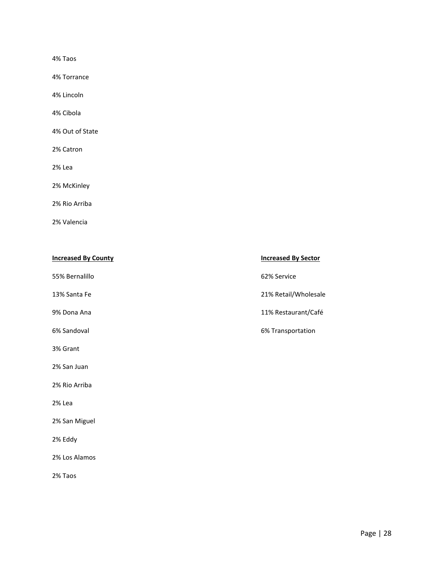4% Taos

4% Torrance

4% Lincoln

4% Cibola

4% Out of State

2% Catron

2% Lea

2% McKinley

2% Rio Arriba

2% Valencia

| <b>Increased By County</b> | <b>Increased By Sector</b> |
|----------------------------|----------------------------|
| 55% Bernalillo             | 62% Service                |
| 13% Santa Fe               | 21% Retail/Wholesale       |
| 9% Dona Ana                | 11% Restaurant/Café        |
| 6% Sandoval                | 6% Transportation          |
| 3% Grant                   |                            |
| 2% San Juan                |                            |
| 2% Rio Arriba              |                            |
| 2% Lea                     |                            |
| 2% San Miguel              |                            |
| 2% Eddy                    |                            |
| 2% Los Alamos              |                            |
| 2% Taos                    |                            |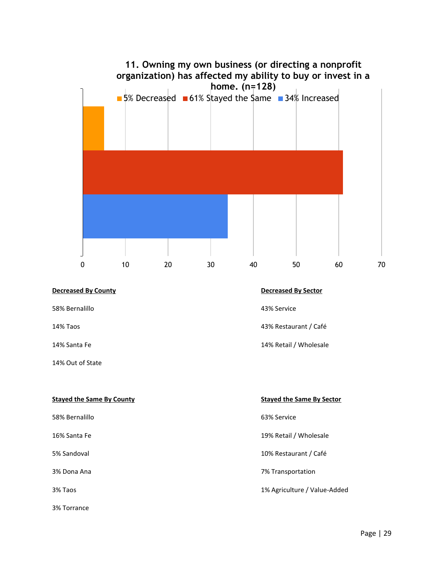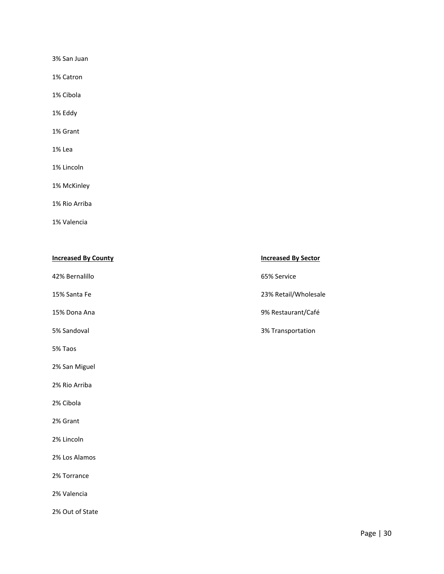3% San Juan

1% Catron

1% Cibola

1% Eddy

1% Grant

1% Lea

1% Lincoln

1% McKinley

1% Rio Arriba

1% Valencia

| <b>Increased By County</b> | <b>Increased By Sector</b> |
|----------------------------|----------------------------|
| 42% Bernalillo             | 65% Service                |
| 15% Santa Fe               | 23% Retail/Wholesale       |
| 15% Dona Ana               | 9% Restaurant/Café         |
| 5% Sandoval                | 3% Transportation          |
| 5% Taos                    |                            |
| 2% San Miguel              |                            |
| 2% Rio Arriba              |                            |
| 2% Cibola                  |                            |
| 2% Grant                   |                            |
| 2% Lincoln                 |                            |
| 2% Los Alamos              |                            |
| 2% Torrance                |                            |
| 2% Valencia                |                            |
| 2% Out of State            |                            |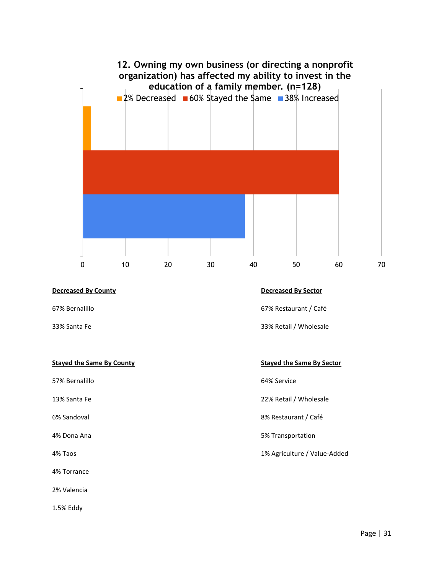

Page | 31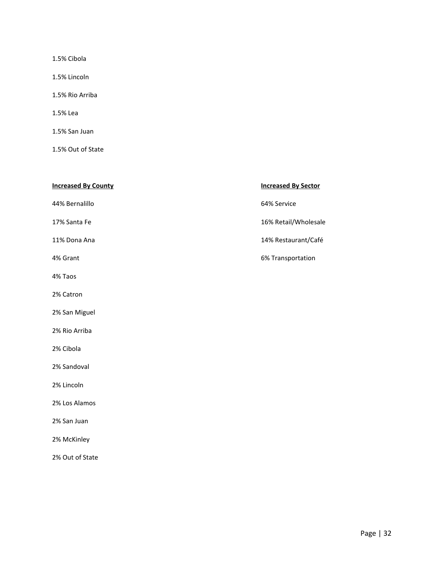1.5% Cibola

1.5% Lincoln

1.5% Rio Arriba

1.5% Lea

1.5% San Juan

1.5% Out of State

| <b>Increased By County</b> | <b>Increased By Sector</b> |
|----------------------------|----------------------------|
| 44% Bernalillo             | 64% Service                |
| 17% Santa Fe               | 16% Retail/Wholesale       |
| 11% Dona Ana               | 14% Restaurant/Café        |
| 4% Grant                   | 6% Transportation          |
| 4% Taos                    |                            |
| 2% Catron                  |                            |
| 2% San Miguel              |                            |
| 2% Rio Arriba              |                            |
| 2% Cibola                  |                            |
| 2% Sandoval                |                            |
| 2% Lincoln                 |                            |
| 2% Los Alamos              |                            |
| 2% San Juan                |                            |
| 2% McKinley                |                            |

2% Out of State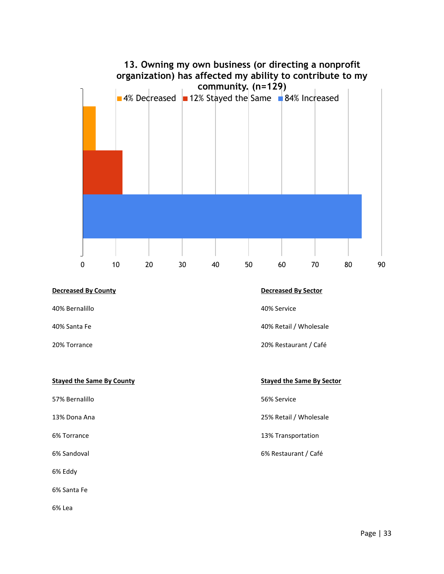

### **Decreased By County Decreased By Sector**

40% Bernalillo 40% Service

57% Bernalillo 56% Service

6% Eddy

6% Santa Fe

6% Lea

40% Santa Fe 40% Santa Fe 40% Santa Fe 40% Retail / Wholesale

20% Torrance 20% Restaurant / Café

**Stayed the Same By County Stayed the Same By Sector** 

13% Dona Ana 25% Retail / Wholesale

6% Torrance 13% Transportation

6% Sandoval 6% Restaurant / Café